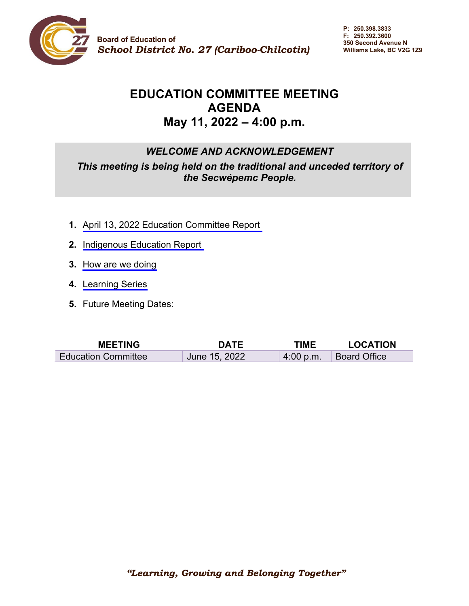

**P: 250.398.3833 F: 250.392.3600 350 Second Avenue N Williams Lake, BC V2G 1Z9**

# **EDUCATION COMMITTEE MEETING AGENDA May 11, 2022 – 4:00 p.m.**

## *WELCOME AND ACKNOWLEDGEMENT*

*This meeting is being held on the traditional and unceded territory of the Secwépemc People.* 

- **1.** April 13, 2022 Education Committee Report
- **2.** [Indigenous Education Report](#page-4-0)
- **3.** [How are we doing](#page-5-0)
- **4.** [Learning Series](#page-6-0)
- **5.** Future Meeting Dates:

| <b>MEETING</b>             | <b>DATE</b>   | TIME      | <b>LOCATION</b>     |
|----------------------------|---------------|-----------|---------------------|
| <b>Education Committee</b> | June 15, 2022 | 4:00 p.m. | <b>Board Office</b> |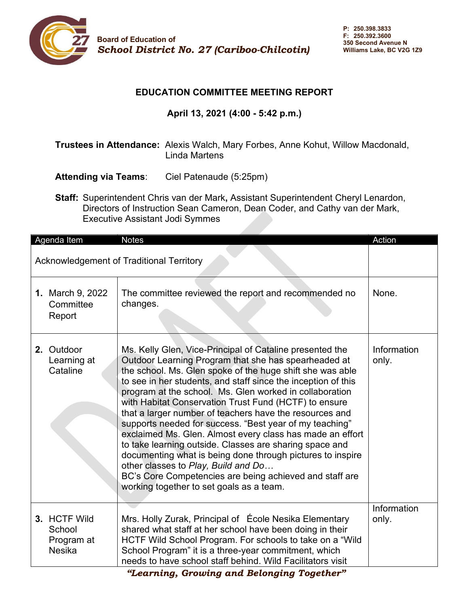

#### **EDUCATION COMMITTEE MEETING REPORT**

## **April 13, 2021 (4:00 - 5:42 p.m.)**

## **Trustees in Attendance:** Alexis Walch, Mary Forbes, Anne Kohut, Willow Macdonald, Linda Martens

- **Attending via Teams**: Ciel Patenaude (5:25pm)
- **Staff:** Superintendent Chris van der Mark**,** Assistant Superintendent Cheryl Lenardon, Directors of Instruction Sean Cameron, Dean Coder, and Cathy van der Mark, Executive Assistant Jodi Symmes

|                                                 | Agenda Item                                           | <b>Notes</b>                                                                                                                                                                                                                                                                                                                                                                                                                                                                                                                                                                                                                                                                                                                                                                                                                 | Action               |
|-------------------------------------------------|-------------------------------------------------------|------------------------------------------------------------------------------------------------------------------------------------------------------------------------------------------------------------------------------------------------------------------------------------------------------------------------------------------------------------------------------------------------------------------------------------------------------------------------------------------------------------------------------------------------------------------------------------------------------------------------------------------------------------------------------------------------------------------------------------------------------------------------------------------------------------------------------|----------------------|
| <b>Acknowledgement of Traditional Territory</b> |                                                       |                                                                                                                                                                                                                                                                                                                                                                                                                                                                                                                                                                                                                                                                                                                                                                                                                              |                      |
|                                                 | 1. March 9, 2022<br>Committee<br>Report               | The committee reviewed the report and recommended no<br>changes.                                                                                                                                                                                                                                                                                                                                                                                                                                                                                                                                                                                                                                                                                                                                                             | None.                |
|                                                 | 2. Outdoor<br>Learning at<br>Cataline                 | Ms. Kelly Glen, Vice-Principal of Cataline presented the<br>Outdoor Learning Program that she has spearheaded at<br>the school. Ms. Glen spoke of the huge shift she was able<br>to see in her students, and staff since the inception of this<br>program at the school. Ms. Glen worked in collaboration<br>with Habitat Conservation Trust Fund (HCTF) to ensure<br>that a larger number of teachers have the resources and<br>supports needed for success. "Best year of my teaching"<br>exclaimed Ms. Glen. Almost every class has made an effort<br>to take learning outside. Classes are sharing space and<br>documenting what is being done through pictures to inspire<br>other classes to Play, Build and Do<br>BC's Core Competencies are being achieved and staff are<br>working together to set goals as a team. | Information<br>only. |
|                                                 | 3. HCTF Wild<br>School<br>Program at<br><b>Nesika</b> | Mrs. Holly Zurak, Principal of École Nesika Elementary<br>shared what staff at her school have been doing in their<br>HCTF Wild School Program. For schools to take on a "Wild<br>School Program" it is a three-year commitment, which<br>needs to have school staff behind. Wild Facilitators visit                                                                                                                                                                                                                                                                                                                                                                                                                                                                                                                         | Information<br>only. |

 *"Learning, Growing and Belonging Together"*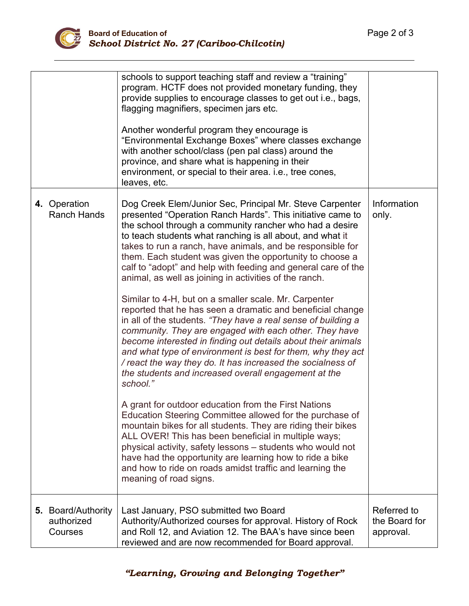

|                                             | schools to support teaching staff and review a "training"<br>program. HCTF does not provided monetary funding, they<br>provide supplies to encourage classes to get out i.e., bags,<br>flagging magnifiers, specimen jars etc.<br>Another wonderful program they encourage is<br>"Environmental Exchange Boxes" where classes exchange<br>with another school/class (pen pal class) around the<br>province, and share what is happening in their<br>environment, or special to their area. i.e., tree cones,<br>leaves, etc.                                                                                                                                                                                                                                                                                                                                                                                                                                                                                                                                                                                                                                                                                                                                                                                                                                                                                                                                                        |                                           |
|---------------------------------------------|-------------------------------------------------------------------------------------------------------------------------------------------------------------------------------------------------------------------------------------------------------------------------------------------------------------------------------------------------------------------------------------------------------------------------------------------------------------------------------------------------------------------------------------------------------------------------------------------------------------------------------------------------------------------------------------------------------------------------------------------------------------------------------------------------------------------------------------------------------------------------------------------------------------------------------------------------------------------------------------------------------------------------------------------------------------------------------------------------------------------------------------------------------------------------------------------------------------------------------------------------------------------------------------------------------------------------------------------------------------------------------------------------------------------------------------------------------------------------------------|-------------------------------------------|
| 4. Operation<br><b>Ranch Hands</b>          | Dog Creek Elem/Junior Sec, Principal Mr. Steve Carpenter<br>presented "Operation Ranch Hards". This initiative came to<br>the school through a community rancher who had a desire<br>to teach students what ranching is all about, and what it<br>takes to run a ranch, have animals, and be responsible for<br>them. Each student was given the opportunity to choose a<br>calf to "adopt" and help with feeding and general care of the<br>animal, as well as joining in activities of the ranch.<br>Similar to 4-H, but on a smaller scale. Mr. Carpenter<br>reported that he has seen a dramatic and beneficial change<br>in all of the students. "They have a real sense of building a<br>community. They are engaged with each other. They have<br>become interested in finding out details about their animals<br>and what type of environment is best for them, why they act<br>/ react the way they do. It has increased the socialness of<br>the students and increased overall engagement at the<br>school."<br>A grant for outdoor education from the First Nations<br>Education Steering Committee allowed for the purchase of<br>mountain bikes for all students. They are riding their bikes<br>ALL OVER! This has been beneficial in multiple ways;<br>physical activity, safety lessons - students who would not<br>have had the opportunity are learning how to ride a bike<br>and how to ride on roads amidst traffic and learning the<br>meaning of road signs. | Information<br>only.                      |
| 5. Board/Authority<br>authorized<br>Courses | Last January, PSO submitted two Board<br>Authority/Authorized courses for approval. History of Rock<br>and Roll 12, and Aviation 12. The BAA's have since been<br>reviewed and are now recommended for Board approval.                                                                                                                                                                                                                                                                                                                                                                                                                                                                                                                                                                                                                                                                                                                                                                                                                                                                                                                                                                                                                                                                                                                                                                                                                                                              | Referred to<br>the Board for<br>approval. |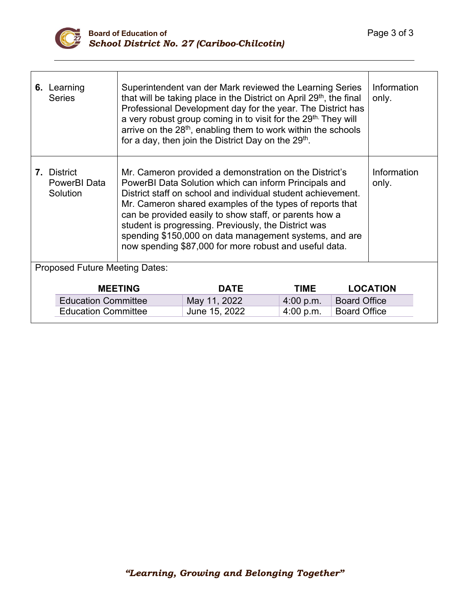

| 6. Learning<br><b>Series</b>                   | Superintendent van der Mark reviewed the Learning Series<br>that will be taking place in the District on April 29 <sup>th</sup> , the final<br>Professional Development day for the year. The District has<br>a very robust group coming in to visit for the 29 <sup>th.</sup> They will<br>arrive on the 28 <sup>th</sup> , enabling them to work within the schools<br>for a day, then join the District Day on the 29 <sup>th</sup> .                                          |               |             | Information<br>only. |                 |  |
|------------------------------------------------|-----------------------------------------------------------------------------------------------------------------------------------------------------------------------------------------------------------------------------------------------------------------------------------------------------------------------------------------------------------------------------------------------------------------------------------------------------------------------------------|---------------|-------------|----------------------|-----------------|--|
| <b>7.</b> District<br>PowerBI Data<br>Solution | Mr. Cameron provided a demonstration on the District's<br>PowerBI Data Solution which can inform Principals and<br>District staff on school and individual student achievement.<br>Mr. Cameron shared examples of the types of reports that<br>can be provided easily to show staff, or parents how a<br>student is progressing. Previously, the District was<br>spending \$150,000 on data management systems, and are<br>now spending \$87,000 for more robust and useful data. |               |             | Information<br>only. |                 |  |
| <b>Proposed Future Meeting Dates:</b>          |                                                                                                                                                                                                                                                                                                                                                                                                                                                                                   |               |             |                      |                 |  |
|                                                | <b>MEETING</b>                                                                                                                                                                                                                                                                                                                                                                                                                                                                    | <b>DATE</b>   | <b>TIME</b> |                      | <b>LOCATION</b> |  |
| <b>Education Committee</b>                     |                                                                                                                                                                                                                                                                                                                                                                                                                                                                                   | May 11, 2022  | 4:00 p.m.   | <b>Board Office</b>  |                 |  |
| <b>Education Committee</b>                     |                                                                                                                                                                                                                                                                                                                                                                                                                                                                                   | June 15, 2022 | 4:00 p.m.   | <b>Board Office</b>  |                 |  |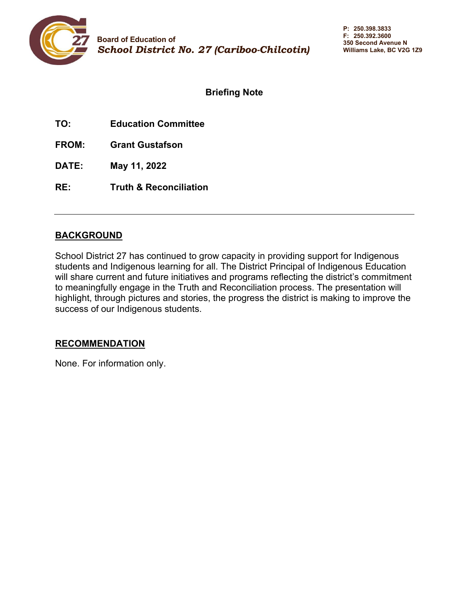<span id="page-4-0"></span>

## **Briefing Note**

**TO: Education Committee**

**FROM: Grant Gustafson**

**DATE: May 11, 2022**

**RE: Truth & Reconciliation**

#### **BACKGROUND**

School District 27 has continued to grow capacity in providing support for Indigenous students and Indigenous learning for all. The District Principal of Indigenous Education will share current and future initiatives and programs reflecting the district's commitment to meaningfully engage in the Truth and Reconciliation process. The presentation will highlight, through pictures and stories, the progress the district is making to improve the success of our Indigenous students.

#### **RECOMMENDATION**

None. For information only.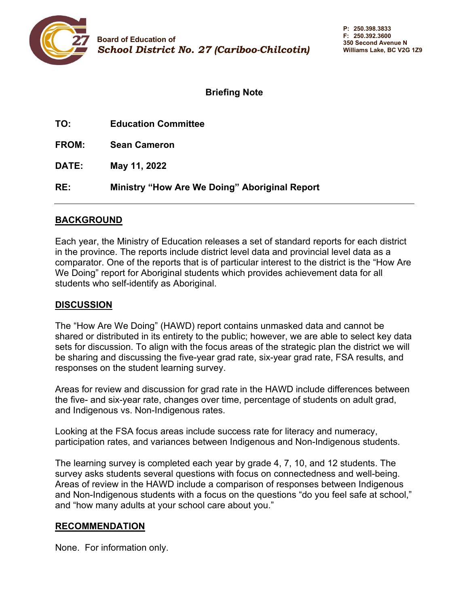<span id="page-5-0"></span>

## **Briefing Note**

| TO:          | <b>Education Committee</b>                    |
|--------------|-----------------------------------------------|
| <b>FROM:</b> | <b>Sean Cameron</b>                           |
| <b>DATE:</b> | May 11, 2022                                  |
| RE:          | Ministry "How Are We Doing" Aboriginal Report |

#### **BACKGROUND**

Each year, the Ministry of Education releases a set of standard reports for each district in the province. The reports include district level data and provincial level data as a comparator. One of the reports that is of particular interest to the district is the "How Are We Doing" report for Aboriginal students which provides achievement data for all students who self-identify as Aboriginal.

## **DISCUSSION**

The "How Are We Doing" (HAWD) report contains unmasked data and cannot be shared or distributed in its entirety to the public; however, we are able to select key data sets for discussion. To align with the focus areas of the strategic plan the district we will be sharing and discussing the five-year grad rate, six-year grad rate, FSA results, and responses on the student learning survey.

Areas for review and discussion for grad rate in the HAWD include differences between the five- and six-year rate, changes over time, percentage of students on adult grad, and Indigenous vs. Non-Indigenous rates.

Looking at the FSA focus areas include success rate for literacy and numeracy, participation rates, and variances between Indigenous and Non-Indigenous students.

The learning survey is completed each year by grade 4, 7, 10, and 12 students. The survey asks students several questions with focus on connectedness and well-being. Areas of review in the HAWD include a comparison of responses between Indigenous and Non-Indigenous students with a focus on the questions "do you feel safe at school," and "how many adults at your school care about you."

#### **RECOMMENDATION**

None. For information only.